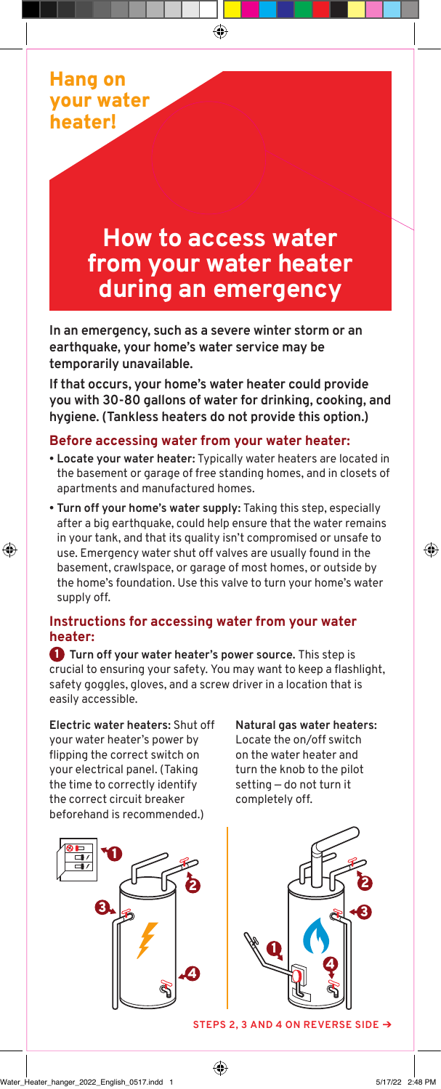

# **How to access water from your water heater during an emergency**

**In an emergency, such as a severe winter storm or an earthquake, your home's water service may be temporarily unavailable.**

**If that occurs, your home's water heater could provide you with 30-80 gallons of water for drinking, cooking, and hygiene. (Tankless heaters do not provide this option.)**

### **Before accessing water from your water heater:**

- **• Locate your water heater:** Typically water heaters are located in the basement or garage of free standing homes, and in closets of apartments and manufactured homes.
- **• Turn off your home's water supply:** Taking this step, especially after a big earthquake, could help ensure that the water remains in your tank, and that its quality isn't compromised or unsafe to use. Emergency water shut off valves are usually found in the basement, crawlspace, or garage of most homes, or outside by the home's foundation. Use this valve to turn your home's water supply off.

## **Instructions for accessing water from your water heater:**

**1** Turn off your water heater's power source. This step is crucial to ensuring your safety. You may want to keep a flashlight, safety goggles, gloves, and a screw driver in a location that is easily accessible.

**Electric water heaters:** Shut off your water heater's power by flipping the correct switch on your electrical panel. (Taking the time to correctly identify the correct circuit breaker beforehand is recommended.)



**Natural gas water heaters:** Locate the on/off switch on the water heater and turn the knob to the pilot setting — do not turn it completely off.